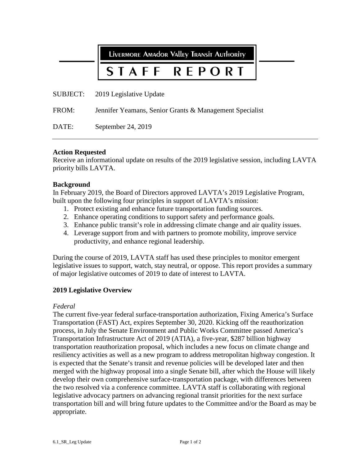LIVERMORE AMAdOR VAllEY TRANSIT AUTHORITY

# REPORT STAFF

SUBJECT: 2019 Legislative Update

FROM: Jennifer Yeamans, Senior Grants & Management Specialist

DATE: September 24, 2019

### **Action Requested**

Receive an informational update on results of the 2019 legislative session, including LAVTA priority bills LAVTA.

### **Background**

In February 2019, the Board of Directors approved LAVTA's 2019 Legislative Program, built upon the following four principles in support of LAVTA's mission:

- 1. Protect existing and enhance future transportation funding sources.
- 2. Enhance operating conditions to support safety and performance goals.
- 3. Enhance public transit's role in addressing climate change and air quality issues.
- 4. Leverage support from and with partners to promote mobility, improve service productivity, and enhance regional leadership.

During the course of 2019, LAVTA staff has used these principles to monitor emergent legislative issues to support, watch, stay neutral, or oppose. This report provides a summary of major legislative outcomes of 2019 to date of interest to LAVTA.

# **2019 Legislative Overview**

#### *Federal*

The current five-year federal surface-transportation authorization, Fixing America's Surface Transportation (FAST) Act, expires September 30, 2020. Kicking off the reauthorization process, in July the Senate Environment and Public Works Committee passed America's Transportation Infrastructure Act of 2019 (ATIA), a five-year, \$287 billion highway transportation reauthorization proposal, which includes a new focus on climate change and resiliency activities as well as a new program to address metropolitan highway congestion. It is expected that the Senate's transit and revenue policies will be developed later and then merged with the highway proposal into a single Senate bill, after which the House will likely develop their own comprehensive surface-transportation package, with differences between the two resolved via a conference committee. LAVTA staff is collaborating with regional legislative advocacy partners on advancing regional transit priorities for the next surface transportation bill and will bring future updates to the Committee and/or the Board as may be appropriate.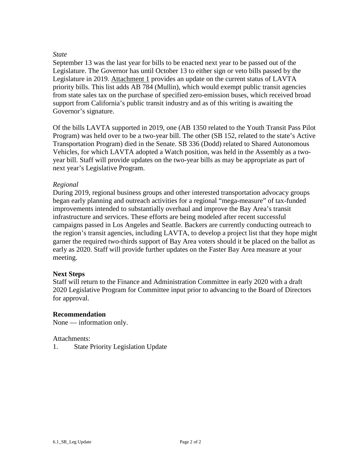# *State*

September 13 was the last year for bills to be enacted next year to be passed out of the Legislature. The Governor has until October 13 to either sign or veto bills passed by the Legislature in 2019. Attachment 1 provides an update on the current status of LAVTA priority bills. This list adds AB 784 (Mullin), which would exempt public transit agencies from state sales tax on the purchase of specified zero-emission buses, which received broad support from California's public transit industry and as of this writing is awaiting the Governor's signature.

Of the bills LAVTA supported in 2019, one (AB 1350 related to the Youth Transit Pass Pilot Program) was held over to be a two-year bill. The other (SB 152, related to the state's Active Transportation Program) died in the Senate. SB 336 (Dodd) related to Shared Autonomous Vehicles, for which LAVTA adopted a Watch position, was held in the Assembly as a twoyear bill. Staff will provide updates on the two-year bills as may be appropriate as part of next year's Legislative Program.

# *Regional*

During 2019, regional business groups and other interested transportation advocacy groups began early planning and outreach activities for a regional "mega-measure" of tax-funded improvements intended to substantially overhaul and improve the Bay Area's transit infrastructure and services. These efforts are being modeled after recent successful campaigns passed in Los Angeles and Seattle. Backers are currently conducting outreach to the region's transit agencies, including LAVTA, to develop a project list that they hope might garner the required two-thirds support of Bay Area voters should it be placed on the ballot as early as 2020. Staff will provide further updates on the Faster Bay Area measure at your meeting.

# **Next Steps**

Staff will return to the Finance and Administration Committee in early 2020 with a draft 2020 Legislative Program for Committee input prior to advancing to the Board of Directors for approval.

# **Recommendation**

None — information only.

# Attachments:

1. State Priority Legislation Update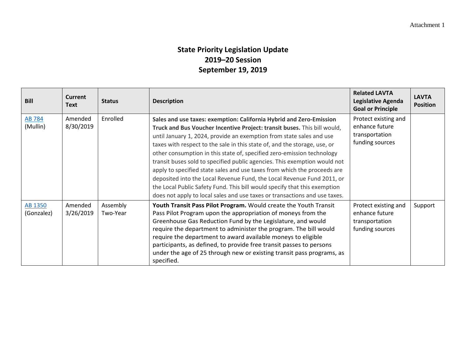# **State Priority Legislation Update 2019–20 Session September 19, 2019**

| <b>Bill</b>               | <b>Current</b><br><b>Text</b> | <b>Status</b>        | <b>Description</b>                                                                                                                                                                                                                                                                                                                                                                                                                                                                                                                                                                                                                                                                                                                                                           | <b>Related LAVTA</b><br>Legislative Agenda<br><b>Goal or Principle</b>      | <b>LAVTA</b><br><b>Position</b> |
|---------------------------|-------------------------------|----------------------|------------------------------------------------------------------------------------------------------------------------------------------------------------------------------------------------------------------------------------------------------------------------------------------------------------------------------------------------------------------------------------------------------------------------------------------------------------------------------------------------------------------------------------------------------------------------------------------------------------------------------------------------------------------------------------------------------------------------------------------------------------------------------|-----------------------------------------------------------------------------|---------------------------------|
| <b>AB 784</b><br>(Mullin) | Amended<br>8/30/2019          | Enrolled             | Sales and use taxes: exemption: California Hybrid and Zero-Emission<br>Truck and Bus Voucher Incentive Project: transit buses. This bill would,<br>until January 1, 2024, provide an exemption from state sales and use<br>taxes with respect to the sale in this state of, and the storage, use, or<br>other consumption in this state of, specified zero-emission technology<br>transit buses sold to specified public agencies. This exemption would not<br>apply to specified state sales and use taxes from which the proceeds are<br>deposited into the Local Revenue Fund, the Local Revenue Fund 2011, or<br>the Local Public Safety Fund. This bill would specify that this exemption<br>does not apply to local sales and use taxes or transactions and use taxes. | Protect existing and<br>enhance future<br>transportation<br>funding sources |                                 |
| AB 1350<br>(Gonzalez)     | Amended<br>3/26/2019          | Assembly<br>Two-Year | Youth Transit Pass Pilot Program. Would create the Youth Transit<br>Pass Pilot Program upon the appropriation of moneys from the<br>Greenhouse Gas Reduction Fund by the Legislature, and would<br>require the department to administer the program. The bill would<br>require the department to award available moneys to eligible<br>participants, as defined, to provide free transit passes to persons<br>under the age of 25 through new or existing transit pass programs, as<br>specified.                                                                                                                                                                                                                                                                            | Protect existing and<br>enhance future<br>transportation<br>funding sources | Support                         |